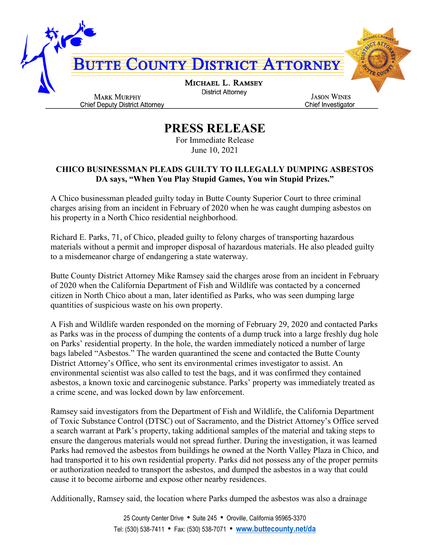

## **PRESS RELEASE**

For Immediate Release June 10, 2021

## **CHICO BUSINESSMAN PLEADS GUILTY TO ILLEGALLY DUMPING ASBESTOS DA says, "When You Play Stupid Games, You win Stupid Prizes."**

A Chico businessman pleaded guilty today in Butte County Superior Court to three criminal charges arising from an incident in February of 2020 when he was caught dumping asbestos on his property in a North Chico residential neighborhood.

Richard E. Parks, 71, of Chico, pleaded guilty to felony charges of transporting hazardous materials without a permit and improper disposal of hazardous materials. He also pleaded guilty to a misdemeanor charge of endangering a state waterway.

Butte County District Attorney Mike Ramsey said the charges arose from an incident in February of 2020 when the California Department of Fish and Wildlife was contacted by a concerned citizen in North Chico about a man, later identified as Parks, who was seen dumping large quantities of suspicious waste on his own property.

A Fish and Wildlife warden responded on the morning of February 29, 2020 and contacted Parks as Parks was in the process of dumping the contents of a dump truck into a large freshly dug hole on Parks' residential property. In the hole, the warden immediately noticed a number of large bags labeled "Asbestos." The warden quarantined the scene and contacted the Butte County District Attorney's Office, who sent its environmental crimes investigator to assist. An environmental scientist was also called to test the bags, and it was confirmed they contained asbestos, a known toxic and carcinogenic substance. Parks' property was immediately treated as a crime scene, and was locked down by law enforcement.

Ramsey said investigators from the Department of Fish and Wildlife, the California Department of Toxic Substance Control (DTSC) out of Sacramento, and the District Attorney's Office served a search warrant at Park's property, taking additional samples of the material and taking steps to ensure the dangerous materials would not spread further. During the investigation, it was learned Parks had removed the asbestos from buildings he owned at the North Valley Plaza in Chico, and had transported it to his own residential property. Parks did not possess any of the proper permits or authorization needed to transport the asbestos, and dumped the asbestos in a way that could cause it to become airborne and expose other nearby residences.

Additionally, Ramsey said, the location where Parks dumped the asbestos was also a drainage